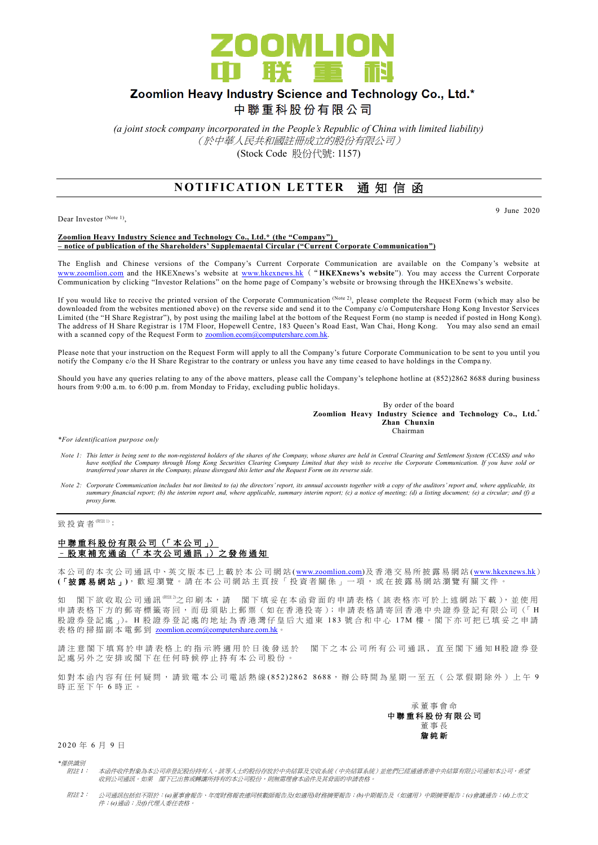

## Zoomlion Heavy Industry Science and Technology Co., Ltd.\*

中聯重科股份有限公司

*(a joint stock company incorporated in the People's Republic of China with limited liability)* (於中華人民共和國註冊成立的股份有限公司) (Stock Code 股份代號: 1157)

## **NOTIFICATION LETTER 通知信函**

Dear Investor (Note 1),

9 June 2020

## **Zoomlion Heavy Industry Science and Technology Co., Ltd.\* (the "Company") – notice of publication of the Shareholders' Supplemaental Circular ("Current Corporate Communication")**

The English and Chinese versions of the Company's Current Corporate Communication are available on the Company's website at [www.zoomlion.com](http://www.zoomlion.com/) and the HKEXnews's website at [www.hkexnews.hk](http://www.hkexnews.hk/) ("**HKEXnews's website**"). You may access the Current Corporate Communication by clicking "Investor Relations" on the home page of Company's website or browsing through the HKEXnews's website.

If you would like to receive the printed version of the Corporate Communication (Note 2), please complete the Request Form (which may also be downloaded from the websites mentioned above) on the reverse side and send it to the Company c/o Computershare Hong Kong Investor Services Limited (the "H Share Registrar"), by post using the mailing label at the bottom of the Request Form (no stamp is needed if posted in Hong Kong). The address of H Share Registrar is 17M Floor, Hopewell Centre, 183 Queen's Road East, Wan Chai, Hong Kong. You may also send an email with a scanned copy of the Request Form to [zoomlion.ecom@computershare.com.hk.](mailto:zoomlion.ecom@computershare.com.hk)

Please note that your instruction on the Request Form will apply to all the Company's future Corporate Communication to be sent to you until you notify the Company c/o the H Share Registrar to the contrary or unless you have any time ceased to have holdings in the Company.

Should you have any queries relating to any of the above matters, please call the Company's telephone hotline at (852)2862 8688 during business hours from 9:00 a.m. to 6:00 p.m. from Monday to Friday, excluding public holidays.

> By order of the board **Zoomlion Heavy Industry Science and Technology Co., Ltd.\* Zhan Chunxin Chairman**

*\*For identification purpose only*

- *Note 1: This letter is being sent to the non-registered holders of the shares of the Company, whose shares are held in Central Clearing and Settlement System (CCASS) and who*  have notified the Company through Hong Kong Securities Clearing Company Limited that they wish to receive the Corporate Communication. If you have sold or<br>transferred your shares in the Company, please disregard this lette
- *Note 2: Corporate Communication includes but not limited to (a) the directors' report, its annual accounts together with a copy of the auditors' report and, where applicable, its summary financial report; (b) the interim report and, where applicable, summary interim report; (c) a notice of meeting; (d) a listing document; (e) a circular; and (f) a proxy form.*

致投資者<sup>(附註1)</sup>:

## 中聯重科股份有限公司 (「本公司」) – 股 東 補 充 通 函 (「 本 次 公 司 通 訊 」) 之 發 佈 通 知

本公司的 本 次 公 司 通 訊 中、英 文 版 本 已 上 載於本 公 司 網 站 [\(www.zoomlion.com\)](http://www.zoomlion.com/)及香港交易所披露易網站 [\(www.hkexnews.hk](http://www.hkexnews.hk/)) **(**「披露易網站 」**)**,歡迎瀏覽。 請 在 本 公 司 網 站 主 頁 按 「 投 資 者 關 係 」 一 項 , 或 在 披 露 易 網 站 瀏 覽 有 關 文 件 。

如 閣下欲收取公司通訊<sup>《睢》</sup>之印刷本,請 閣下填妥在本函背面的申請表格(該表格亦可於上述網站下載),並使用 申請表格下方的郵寄標籤寄回,而毋須貼上郵票(如在香港投寄);申請表格請寄回香港中央證券登記有限公司(「H 股證券登記處 心。H 股證券登記處的地址為香港灣仔皇后大道東 183 號合和中心 17M 樓。閣下亦可把已填妥之申請 表格的掃描副本電郵到 [zoomlion.ecom@computershare.com.hk](mailto:zoomlion.ecom@computershare.com.hk)

請注 意 閣 下 填 寫 於 申 請 表 格 上 的 指 示 將 適 用 於 日 後 發 送 於 图 下 之 本 公 司 所 有 公 司 通 訊 , 直 至 閣 下 通 知 H股 證 券 登 記處另外之安排或閣下在任何時候停止持有本公司股份。

如對本函內容有任何疑問,請致電本公司電話熱線 (852) 2862 8688,辦公時間為星期一至五(公眾假期除外)上午 9 時正至下午 6 時正。



2 0 20 年 6 月 9 日

*\**僅供識別

- 附註 *1*: 本函件收件對象為本公司非登記股份持有人。該等人士的股份存放於中央結算及交收系統(中央結算系統)並他們已經通過香港中央結算有限公司通知本公司,希望 收到公司通訊。如果 閣下已出售或轉讓所持有的本公司股份,則無需理會本函件及其背面的申請表格。
- 附註 *2*: 公司通訊包括但不限於:*(a)*董事會報告、年度財務報表連同核數師報告及*(*如適用*)*財務摘要報告;*(b)*中期報告及(如適用)中期摘要報告;*(c)*會議通告;*(d)*上市文 件;*(e)*通函;及*(f)*代理人委任表格。